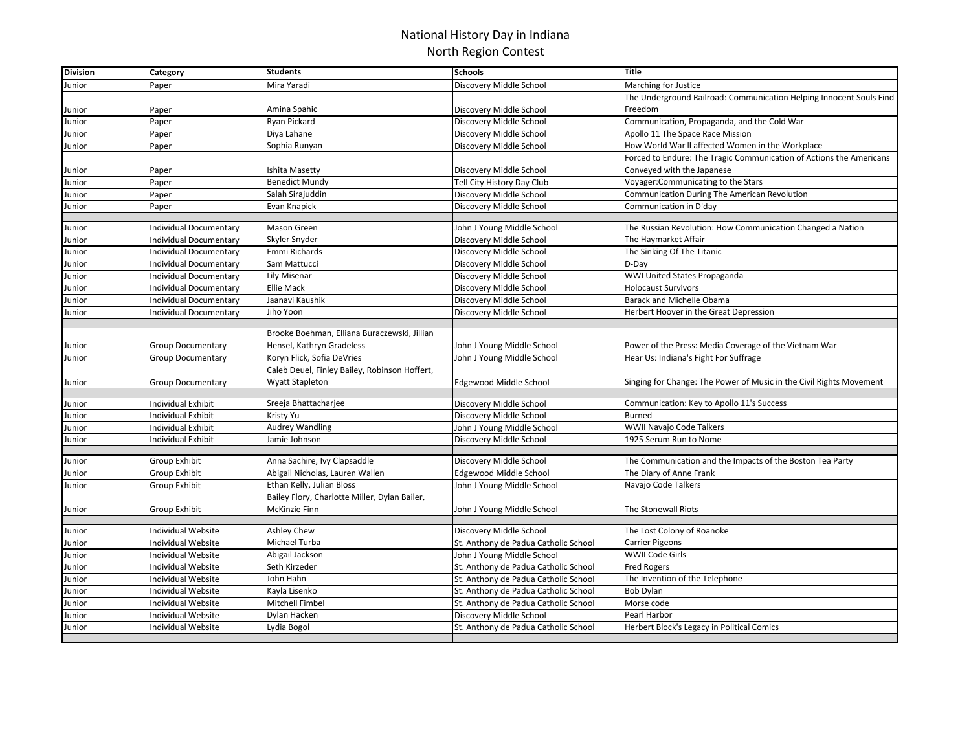## National History Day in Indiana North Region Contest

| <b>Division</b> | Category                      | <b>Students</b>                               | <b>Schools</b>                       | <b>Title</b>                                                        |
|-----------------|-------------------------------|-----------------------------------------------|--------------------------------------|---------------------------------------------------------------------|
| Junior          | Paper                         | Mira Yaradi                                   | Discovery Middle School              | Marching for Justice                                                |
|                 |                               |                                               |                                      | The Underground Railroad: Communication Helping Innocent Souls Find |
| Iunior          | Paper                         | Amina Spahic                                  | Discovery Middle School              | Freedom                                                             |
| Junior          | Paper                         | Ryan Pickard                                  | Discovery Middle School              | Communication, Propaganda, and the Cold War                         |
| Junior          | Paper                         | Diya Lahane                                   | Discovery Middle School              | Apollo 11 The Space Race Mission                                    |
| Junior          | Paper                         | Sophia Runyan                                 | Discovery Middle School              | How World War II affected Women in the Workplace                    |
|                 |                               |                                               |                                      | Forced to Endure: The Tragic Communication of Actions the Americans |
| Junior          | Paper                         | Ishita Masetty                                | Discovery Middle School              | Conveyed with the Japanese                                          |
| Junior          | Paper                         | <b>Benedict Mundy</b>                         | Tell City History Day Club           | Voyager: Communicating to the Stars                                 |
| Junior          | Paper                         | Salah Sirajuddin                              | Discovery Middle School              | Communication During The American Revolution                        |
| Junior          | Paper                         | Evan Knapick                                  | Discovery Middle School              | Communication in D'day                                              |
|                 |                               |                                               |                                      |                                                                     |
| Junior          | <b>Individual Documentary</b> | Mason Green                                   | John J Young Middle School           | The Russian Revolution: How Communication Changed a Nation          |
| Junior          | Individual Documentary        | Skyler Snyder                                 | Discovery Middle School              | The Haymarket Affair                                                |
| Iunior          | <b>Individual Documentary</b> | Emmi Richards                                 | Discovery Middle School              | The Sinking Of The Titanic                                          |
| Junior          | <b>Individual Documentary</b> | Sam Mattucci                                  | Discovery Middle School              | D-Day                                                               |
| Iunior          | <b>Individual Documentary</b> | Lily Misenar                                  | Discovery Middle School              | WWI United States Propaganda                                        |
| Iunior          | Individual Documentary        | <b>Ellie Mack</b>                             | Discovery Middle School              | <b>Holocaust Survivors</b>                                          |
| Junior          | <b>Individual Documentary</b> | Jaanavi Kaushik                               | Discovery Middle School              | Barack and Michelle Obama                                           |
| Junior          | Individual Documentary        | Jiho Yoon                                     | Discovery Middle School              | Herbert Hoover in the Great Depression                              |
|                 |                               |                                               |                                      |                                                                     |
|                 |                               | Brooke Boehman, Elliana Buraczewski, Jillian  |                                      |                                                                     |
| Junior          | <b>Group Documentary</b>      | Hensel, Kathryn Gradeless                     | John J Young Middle School           | Power of the Press: Media Coverage of the Vietnam War               |
| Junior          | <b>Group Documentary</b>      | Koryn Flick, Sofia DeVries                    | John J Young Middle School           | Hear Us: Indiana's Fight For Suffrage                               |
|                 |                               | Caleb Deuel, Finley Bailey, Robinson Hoffert, |                                      |                                                                     |
| Junior          | <b>Group Documentary</b>      | Wyatt Stapleton                               | <b>Edgewood Middle School</b>        | Singing for Change: The Power of Music in the Civil Rights Movement |
|                 |                               |                                               |                                      |                                                                     |
| Junior          | Individual Exhibit            | Sreeja Bhattacharjee                          | Discovery Middle School              | Communication: Key to Apollo 11's Success<br><b>Burned</b>          |
| Junior          | Individual Exhibit            | Kristy Yu                                     | Discovery Middle School              |                                                                     |
| Junior          | <b>Individual Exhibit</b>     | <b>Audrey Wandling</b><br>Jamie Johnson       | John J Young Middle School           | <b>WWII Navajo Code Talkers</b><br>1925 Serum Run to Nome           |
| Junior          | <b>Individual Exhibit</b>     |                                               | Discovery Middle School              |                                                                     |
| Junior          | Group Exhibit                 | Anna Sachire, Ivy Clapsaddle                  | Discovery Middle School              | The Communication and the Impacts of the Boston Tea Party           |
| Iunior          | Group Exhibit                 | Abigail Nicholas, Lauren Wallen               | Edgewood Middle School               | The Diary of Anne Frank                                             |
| Junior          | Group Exhibit                 | Ethan Kelly, Julian Bloss                     | John J Young Middle School           | Navajo Code Talkers                                                 |
|                 |                               | Bailey Flory, Charlotte Miller, Dylan Bailer, |                                      |                                                                     |
| Iunior          | Group Exhibit                 | McKinzie Finn                                 | John J Young Middle School           | The Stonewall Riots                                                 |
|                 |                               |                                               |                                      |                                                                     |
| Junior          | <b>Individual Website</b>     | Ashley Chew                                   | Discovery Middle School              | The Lost Colony of Roanoke                                          |
| Junior          | Individual Website            | Michael Turba                                 | St. Anthony de Padua Catholic School | <b>Carrier Pigeons</b>                                              |
| Junior          | Individual Website            | Abigail Jackson                               | John J Young Middle School           | WWII Code Girls                                                     |
| Iunior          | Individual Website            | Seth Kirzeder                                 | St. Anthony de Padua Catholic School | <b>Fred Rogers</b>                                                  |
| Junior          | <b>Individual Website</b>     | John Hahn                                     | St. Anthony de Padua Catholic School | The Invention of the Telephone                                      |
| Iunior          | Individual Website            | Kayla Lisenko                                 | St. Anthony de Padua Catholic School | Bob Dylan                                                           |
| Iunior          | Individual Website            | Mitchell Fimbel                               | St. Anthony de Padua Catholic School | Morse code                                                          |
| Iunior          | <b>Individual Website</b>     | Dylan Hacken                                  | Discovery Middle School              | Pearl Harbor                                                        |
| Junior          | <b>Individual Website</b>     | ydia Bogol                                    | St. Anthony de Padua Catholic School | Herbert Block's Legacy in Political Comics                          |
|                 |                               |                                               |                                      |                                                                     |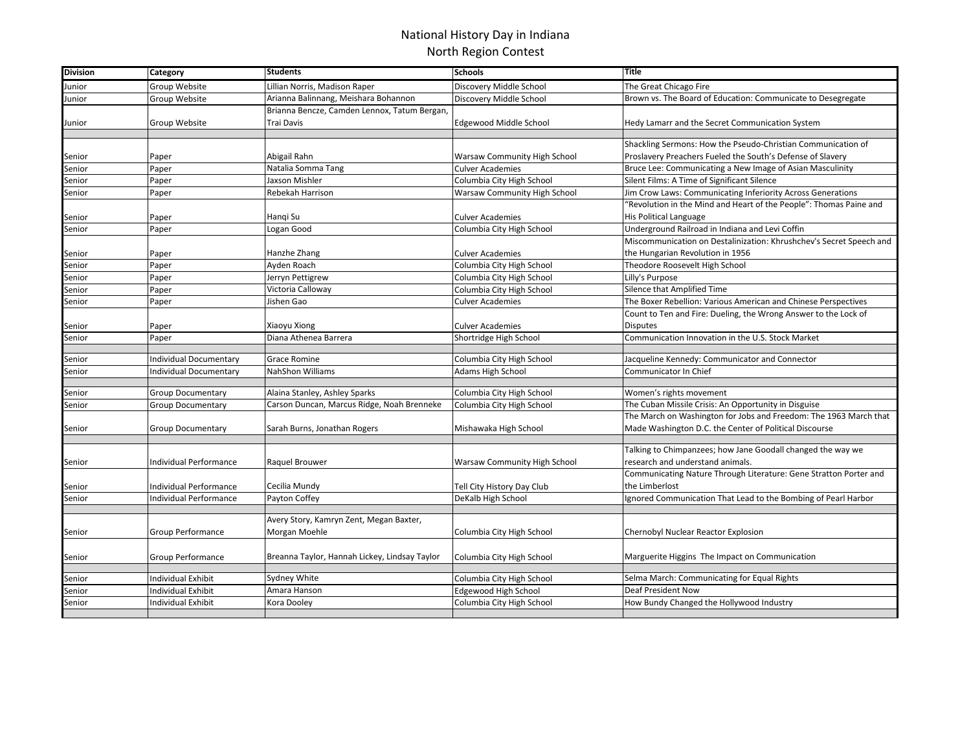## National History Day in Indiana North Region Contest

| <b>Division</b> | Category                      | <b>Students</b>                               | <b>Schools</b>                      | <b>Title</b>                                                        |
|-----------------|-------------------------------|-----------------------------------------------|-------------------------------------|---------------------------------------------------------------------|
| Junior          | Group Website                 | Lillian Norris, Madison Raper                 | Discovery Middle School             | The Great Chicago Fire                                              |
| Junior          | Group Website                 | Arianna Balinnang, Meishara Bohannon          | Discovery Middle School             | Brown vs. The Board of Education: Communicate to Desegregate        |
|                 |                               | Brianna Bencze, Camden Lennox, Tatum Bergan,  |                                     |                                                                     |
| Junior          | Group Website                 | Trai Davis                                    | Edgewood Middle School              | Hedy Lamarr and the Secret Communication System                     |
|                 |                               |                                               |                                     |                                                                     |
|                 |                               |                                               |                                     | Shackling Sermons: How the Pseudo-Christian Communication of        |
| Senior          | Paper                         | Abigail Rahn                                  | <b>Warsaw Community High School</b> | Proslavery Preachers Fueled the South's Defense of Slavery          |
| Senior          | Paper                         | Natalia Somma Tang                            | <b>Culver Academies</b>             | Bruce Lee: Communicating a New Image of Asian Masculinity           |
| Senior          | Paper                         | Jaxson Mishler                                | Columbia City High School           | Silent Films: A Time of Significant Silence                         |
| Senior          | Paper                         | Rebekah Harrison                              | Warsaw Community High School        | Jim Crow Laws: Communicating Inferiority Across Generations         |
|                 |                               |                                               |                                     | 'Revolution in the Mind and Heart of the People": Thomas Paine and  |
| Senior          | Paper                         | Hangi Su                                      | <b>Culver Academies</b>             | His Political Language                                              |
| Senior          | Paper                         | Logan Good                                    | Columbia City High School           | Underground Railroad in Indiana and Levi Coffin                     |
|                 |                               |                                               |                                     | Miscommunication on Destalinization: Khrushchev's Secret Speech and |
| Senior          | Paper                         | Hanzhe Zhang                                  | Culver Academies                    | the Hungarian Revolution in 1956                                    |
| Senior          | Paper                         | Ayden Roach                                   | Columbia City High School           | Theodore Roosevelt High School                                      |
| Senior          | Paper                         | Jerryn Pettigrew                              | Columbia City High School           | Lilly's Purpose                                                     |
| Senior          | Paper                         | Victoria Calloway                             | Columbia City High School           | Silence that Amplified Time                                         |
| Senior          | Paper                         | Jishen Gao                                    | <b>Culver Academies</b>             | The Boxer Rebellion: Various American and Chinese Perspectives      |
|                 |                               |                                               |                                     | Count to Ten and Fire: Dueling, the Wrong Answer to the Lock of     |
| Senior          | Paper                         | Xiaoyu Xiong                                  | <b>Culver Academies</b>             | <b>Disputes</b>                                                     |
| Senior          | Paper                         | Diana Athenea Barrera                         | Shortridge High School              | Communication Innovation in the U.S. Stock Market                   |
|                 |                               |                                               |                                     |                                                                     |
| Senior          | Individual Documentary        | Grace Romine                                  | Columbia City High School           | Jacqueline Kennedy: Communicator and Connector                      |
| Senior          | <b>Individual Documentary</b> | <b>NahShon Williams</b>                       | Adams High School                   | Communicator In Chief                                               |
| Senior          | <b>Group Documentary</b>      | Alaina Stanley, Ashley Sparks                 | Columbia City High School           | Women's rights movement                                             |
| Senior          | <b>Group Documentary</b>      | Carson Duncan, Marcus Ridge, Noah Brenneke    | Columbia City High School           | The Cuban Missile Crisis: An Opportunity in Disguise                |
|                 |                               |                                               |                                     | The March on Washington for Jobs and Freedom: The 1963 March that   |
| Senior          | <b>Group Documentary</b>      | Sarah Burns, Jonathan Rogers                  | Mishawaka High School               | Made Washington D.C. the Center of Political Discourse              |
|                 |                               |                                               |                                     |                                                                     |
|                 |                               |                                               |                                     | Talking to Chimpanzees; how Jane Goodall changed the way we         |
| Senior          | Individual Performance        | Raquel Brouwer                                | Warsaw Community High School        | research and understand animals.                                    |
|                 |                               |                                               |                                     | Communicating Nature Through Literature: Gene Stratton Porter and   |
| Senior          | Individual Performance        | Cecilia Mundy                                 | Tell City History Day Club          | the Limberlost                                                      |
| Senior          | Individual Performance        | Payton Coffey                                 | DeKalb High School                  | Ignored Communication That Lead to the Bombing of Pearl Harbor      |
|                 |                               |                                               |                                     |                                                                     |
|                 |                               | Avery Story, Kamryn Zent, Megan Baxter,       |                                     |                                                                     |
| Senior          | <b>Group Performance</b>      | Morgan Moehle                                 | Columbia City High School           | Chernobyl Nuclear Reactor Explosion                                 |
|                 |                               |                                               |                                     |                                                                     |
| Senior          | <b>Group Performance</b>      | Breanna Taylor, Hannah Lickey, Lindsay Taylor | Columbia City High School           | Marguerite Higgins The Impact on Communication                      |
|                 |                               |                                               |                                     |                                                                     |
| Senior          | Individual Exhibit            | Sydney White                                  | Columbia City High School           | Selma March: Communicating for Equal Rights                         |
| Senior          | <b>Individual Exhibit</b>     | Amara Hanson                                  | Edgewood High School                | Deaf President Now                                                  |
| Senior          | <b>Individual Exhibit</b>     | Kora Dooley                                   | Columbia City High School           | How Bundy Changed the Hollywood Industry                            |
|                 |                               |                                               |                                     |                                                                     |